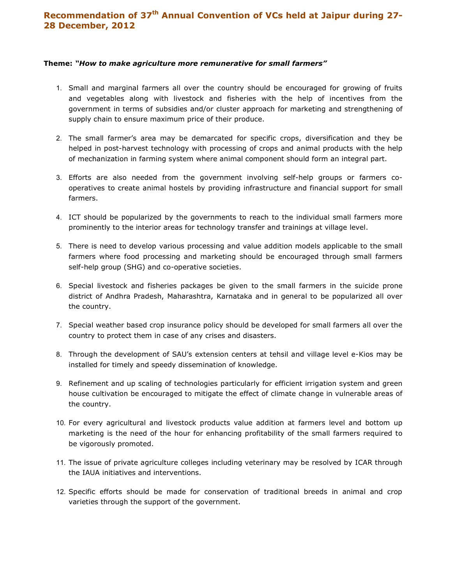## Recommendation of 37<sup>th</sup> Annual Convention of VCs held at Jaipur during 27-28 December, 2012

## Theme: "How to make agriculture more remunerative for small farmers"

- 1. Small and marginal farmers all over the country should be encouraged for growing of fruits and vegetables along with livestock and fisheries with the help of incentives from the government in terms of subsidies and/or cluster approach for marketing and strengthening of supply chain to ensure maximum price of their produce.
- 2. The small farmer's area may be demarcated for specific crops, diversification and they be helped in post-harvest technology with processing of crops and animal products with the help of mechanization in farming system where animal component should form an integral part.
- 3. Efforts are also needed from the government involving self-help groups or farmers cooperatives to create animal hostels by providing infrastructure and financial support for small farmers.
- 4. ICT should be popularized by the governments to reach to the individual small farmers more prominently to the interior areas for technology transfer and trainings at village level.
- 5. There is need to develop various processing and value addition models applicable to the small farmers where food processing and marketing should be encouraged through small farmers self-help group (SHG) and co-operative societies.
- 6. Special livestock and fisheries packages be given to the small farmers in the suicide prone district of Andhra Pradesh, Maharashtra, Karnataka and in general to be popularized all over the country.
- 7. Special weather based crop insurance policy should be developed for small farmers all over the country to protect them in case of any crises and disasters.
- 8. Through the development of SAU's extension centers at tehsil and village level e-Kios may be installed for timely and speedy dissemination of knowledge.
- 9. Refinement and up scaling of technologies particularly for efficient irrigation system and green house cultivation be encouraged to mitigate the effect of climate change in vulnerable areas of the country.
- 10. For every agricultural and livestock products value addition at farmers level and bottom up marketing is the need of the hour for enhancing profitability of the small farmers required to be vigorously promoted.
- 11. The issue of private agriculture colleges including veterinary may be resolved by ICAR through the IAUA initiatives and interventions.
- 12. Specific efforts should be made for conservation of traditional breeds in animal and crop varieties through the support of the government.